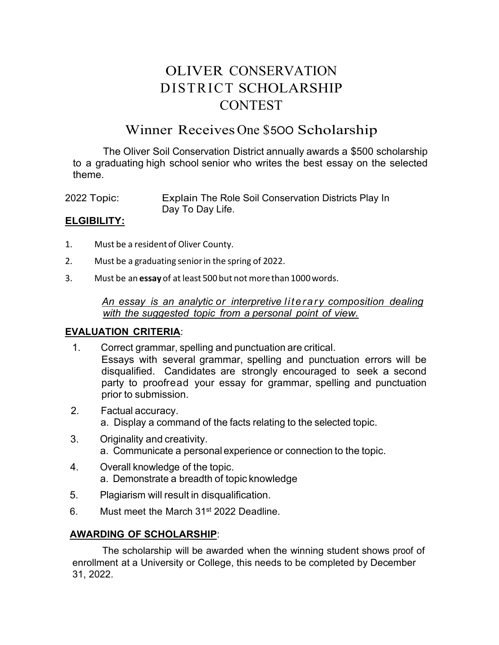# OLIVER CONSERVATION DISTRICT SCHOLARSHIP **CONTEST**

## Winner Receives One \$5OO Scholarship

The Oliver Soil Conservation District annually awards a \$500 scholarship to a graduating high school senior who writes the best essay on the selected theme.

2022 Topic: Explain The Role Soil Conservation Districts Play In Day To Day Life.

#### **ELGIBILITY:**

- 1. Must be a residentof Oliver County.
- 2. Must be a graduating seniorin the spring of 2022.
- 3. Must be an **essay** of atleast 500 but not morethan1000words.

*An essay is an analytic or interpretive literary composition dealing with the suggested topic from a personal point of view.*

#### **EVALUATION CRITERIA**:

- 1. Correct grammar, spelling and punctuation are critical. Essays with several grammar, spelling and punctuation errors will be disqualified. Candidates are strongly encouraged to seek a second party to proofread your essay for grammar, spelling and punctuation prior to submission.
- 2. Factual accuracy. a. Display a command of the facts relating to the selected topic.
- 3. Originality and creativity. a. Communicate a personal experience or connection to the topic.
- 4. Overall knowledge of the topic. a. Demonstrate a breadth of topic knowledge
- 5. Plagiarism will result in disqualification.
- 6. Must meet the March 31st 2022 Deadline.

### **AWARDING OF SCHOLARSHIP**:

The scholarship will be awarded when the winning student shows proof of enrollment at a University or College, this needs to be completed by December 31, 2022.